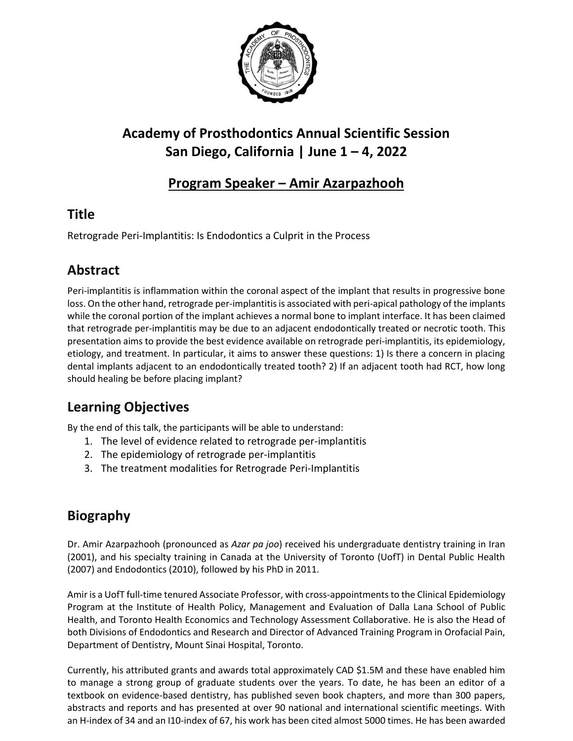

# **Academy of Prosthodontics Annual Scientific Session San Diego, California | June 1 – 4, 2022**

## **Program Speaker – Amir Azarpazhooh**

## **Title**

Retrograde Peri-Implantitis: Is Endodontics a Culprit in the Process

## **Abstract**

Peri-implantitis is inflammation within the coronal aspect of the implant that results in progressive bone loss. On the other hand, retrograde per-implantitis is associated with peri-apical pathology of the implants while the coronal portion of the implant achieves a normal bone to implant interface. It has been claimed that retrograde per-implantitis may be due to an adjacent endodontically treated or necrotic tooth. This presentation aims to provide the best evidence available on retrograde peri-implantitis, its epidemiology, etiology, and treatment. In particular, it aims to answer these questions: 1) Is there a concern in placing dental implants adjacent to an endodontically treated tooth? 2) If an adjacent tooth had RCT, how long should healing be before placing implant?

## **Learning Objectives**

By the end of this talk, the participants will be able to understand:

- 1. The level of evidence related to retrograde per-implantitis
- 2. The epidemiology of retrograde per-implantitis
- 3. The treatment modalities for Retrograde Peri-Implantitis

## **Biography**

Dr. Amir Azarpazhooh (pronounced as *Azar pa joo*) received his undergraduate dentistry training in Iran (2001), and his specialty training in Canada at the University of Toronto (UofT) in Dental Public Health (2007) and Endodontics (2010), followed by his PhD in 2011.

Amir is a UofT full-time tenured Associate Professor, with cross-appointments to the Clinical Epidemiology Program at the Institute of Health Policy, Management and Evaluation of Dalla Lana School of Public Health, and Toronto Health Economics and Technology Assessment Collaborative. He is also the Head of both Divisions of Endodontics and Research and Director of Advanced Training Program in Orofacial Pain, Department of Dentistry, Mount Sinai Hospital, Toronto.

Currently, his attributed grants and awards total approximately CAD \$1.5M and these have enabled him to manage a strong group of graduate students over the years. To date, he has been an editor of a textbook on evidence-based dentistry, has published seven book chapters, and more than 300 papers, abstracts and reports and has presented at over 90 national and international scientific meetings. With an H-index of 34 and an I10-index of 67, his work has been cited almost 5000 times. He has been awarded